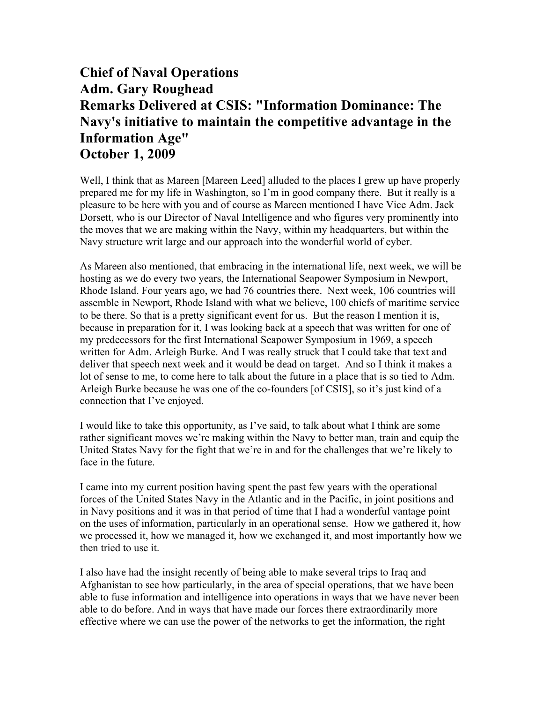## **Chief of Naval Operations Adm. Gary Roughead Remarks Delivered at CSIS: "Information Dominance: The Navy's initiative to maintain the competitive advantage in the Information Age" October 1, 2009**

Well, I think that as Mareen [Mareen Leed] alluded to the places I grew up have properly prepared me for my life in Washington, so I'm in good company there. But it really is a pleasure to be here with you and of course as Mareen mentioned I have Vice Adm. Jack Dorsett, who is our Director of Naval Intelligence and who figures very prominently into the moves that we are making within the Navy, within my headquarters, but within the Navy structure writ large and our approach into the wonderful world of cyber.

As Mareen also mentioned, that embracing in the international life, next week, we will be hosting as we do every two years, the International Seapower Symposium in Newport, Rhode Island. Four years ago, we had 76 countries there. Next week, 106 countries will assemble in Newport, Rhode Island with what we believe, 100 chiefs of maritime service to be there. So that is a pretty significant event for us. But the reason I mention it is, because in preparation for it, I was looking back at a speech that was written for one of my predecessors for the first International Seapower Symposium in 1969, a speech written for Adm. Arleigh Burke. And I was really struck that I could take that text and deliver that speech next week and it would be dead on target. And so I think it makes a lot of sense to me, to come here to talk about the future in a place that is so tied to Adm. Arleigh Burke because he was one of the co-founders [of CSIS], so it's just kind of a connection that I've enjoyed.

I would like to take this opportunity, as I've said, to talk about what I think are some rather significant moves we're making within the Navy to better man, train and equip the United States Navy for the fight that we're in and for the challenges that we're likely to face in the future.

I came into my current position having spent the past few years with the operational forces of the United States Navy in the Atlantic and in the Pacific, in joint positions and in Navy positions and it was in that period of time that I had a wonderful vantage point on the uses of information, particularly in an operational sense. How we gathered it, how we processed it, how we managed it, how we exchanged it, and most importantly how we then tried to use it.

I also have had the insight recently of being able to make several trips to Iraq and Afghanistan to see how particularly, in the area of special operations, that we have been able to fuse information and intelligence into operations in ways that we have never been able to do before. And in ways that have made our forces there extraordinarily more effective where we can use the power of the networks to get the information, the right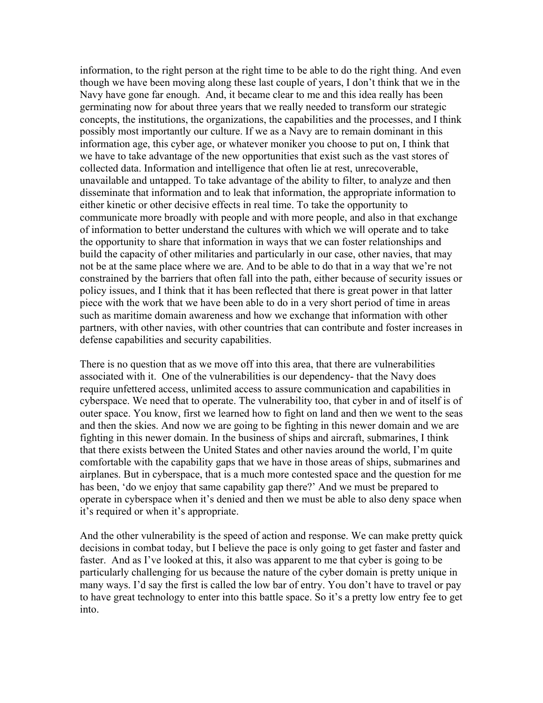information, to the right person at the right time to be able to do the right thing. And even though we have been moving along these last couple of years, I don't think that we in the Navy have gone far enough. And, it became clear to me and this idea really has been germinating now for about three years that we really needed to transform our strategic concepts, the institutions, the organizations, the capabilities and the processes, and I think possibly most importantly our culture. If we as a Navy are to remain dominant in this information age, this cyber age, or whatever moniker you choose to put on, I think that we have to take advantage of the new opportunities that exist such as the vast stores of collected data. Information and intelligence that often lie at rest, unrecoverable, unavailable and untapped. To take advantage of the ability to filter, to analyze and then disseminate that information and to leak that information, the appropriate information to either kinetic or other decisive effects in real time. To take the opportunity to communicate more broadly with people and with more people, and also in that exchange of information to better understand the cultures with which we will operate and to take the opportunity to share that information in ways that we can foster relationships and build the capacity of other militaries and particularly in our case, other navies, that may not be at the same place where we are. And to be able to do that in a way that we're not constrained by the barriers that often fall into the path, either because of security issues or policy issues, and I think that it has been reflected that there is great power in that latter piece with the work that we have been able to do in a very short period of time in areas such as maritime domain awareness and how we exchange that information with other partners, with other navies, with other countries that can contribute and foster increases in defense capabilities and security capabilities.

There is no question that as we move off into this area, that there are vulnerabilities associated with it. One of the vulnerabilities is our dependency- that the Navy does require unfettered access, unlimited access to assure communication and capabilities in cyberspace. We need that to operate. The vulnerability too, that cyber in and of itself is of outer space. You know, first we learned how to fight on land and then we went to the seas and then the skies. And now we are going to be fighting in this newer domain and we are fighting in this newer domain. In the business of ships and aircraft, submarines, I think that there exists between the United States and other navies around the world, I'm quite comfortable with the capability gaps that we have in those areas of ships, submarines and airplanes. But in cyberspace, that is a much more contested space and the question for me has been, 'do we enjoy that same capability gap there?' And we must be prepared to operate in cyberspace when it's denied and then we must be able to also deny space when it's required or when it's appropriate.

And the other vulnerability is the speed of action and response. We can make pretty quick decisions in combat today, but I believe the pace is only going to get faster and faster and faster. And as I've looked at this, it also was apparent to me that cyber is going to be particularly challenging for us because the nature of the cyber domain is pretty unique in many ways. I'd say the first is called the low bar of entry. You don't have to travel or pay to have great technology to enter into this battle space. So it's a pretty low entry fee to get into.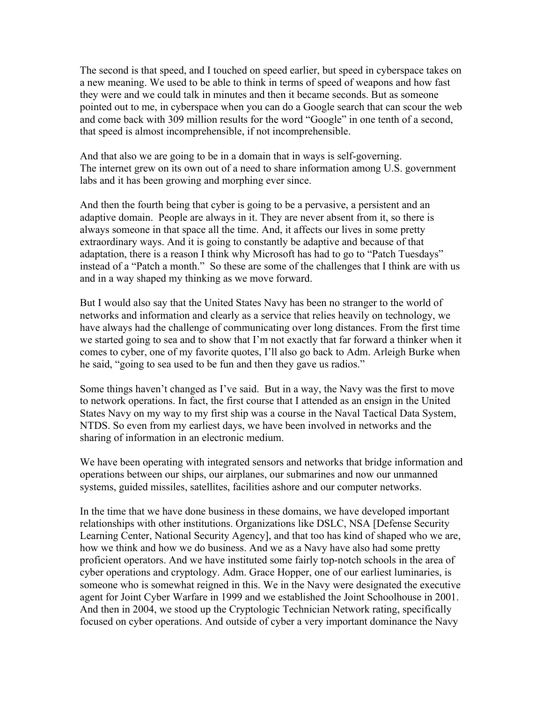The second is that speed, and I touched on speed earlier, but speed in cyberspace takes on a new meaning. We used to be able to think in terms of speed of weapons and how fast they were and we could talk in minutes and then it became seconds. But as someone pointed out to me, in cyberspace when you can do a Google search that can scour the web and come back with 309 million results for the word "Google" in one tenth of a second, that speed is almost incomprehensible, if not incomprehensible.

And that also we are going to be in a domain that in ways is self-governing. The internet grew on its own out of a need to share information among U.S. government labs and it has been growing and morphing ever since.

And then the fourth being that cyber is going to be a pervasive, a persistent and an adaptive domain. People are always in it. They are never absent from it, so there is always someone in that space all the time. And, it affects our lives in some pretty extraordinary ways. And it is going to constantly be adaptive and because of that adaptation, there is a reason I think why Microsoft has had to go to "Patch Tuesdays" instead of a "Patch a month." So these are some of the challenges that I think are with us and in a way shaped my thinking as we move forward.

But I would also say that the United States Navy has been no stranger to the world of networks and information and clearly as a service that relies heavily on technology, we have always had the challenge of communicating over long distances. From the first time we started going to sea and to show that I'm not exactly that far forward a thinker when it comes to cyber, one of my favorite quotes, I'll also go back to Adm. Arleigh Burke when he said, "going to sea used to be fun and then they gave us radios."

Some things haven't changed as I've said. But in a way, the Navy was the first to move to network operations. In fact, the first course that I attended as an ensign in the United States Navy on my way to my first ship was a course in the Naval Tactical Data System, NTDS. So even from my earliest days, we have been involved in networks and the sharing of information in an electronic medium.

We have been operating with integrated sensors and networks that bridge information and operations between our ships, our airplanes, our submarines and now our unmanned systems, guided missiles, satellites, facilities ashore and our computer networks.

In the time that we have done business in these domains, we have developed important relationships with other institutions. Organizations like DSLC, NSA [Defense Security Learning Center, National Security Agency], and that too has kind of shaped who we are, how we think and how we do business. And we as a Navy have also had some pretty proficient operators. And we have instituted some fairly top-notch schools in the area of cyber operations and cryptology. Adm. Grace Hopper, one of our earliest luminaries, is someone who is somewhat reigned in this. We in the Navy were designated the executive agent for Joint Cyber Warfare in 1999 and we established the Joint Schoolhouse in 2001. And then in 2004, we stood up the Cryptologic Technician Network rating, specifically focused on cyber operations. And outside of cyber a very important dominance the Navy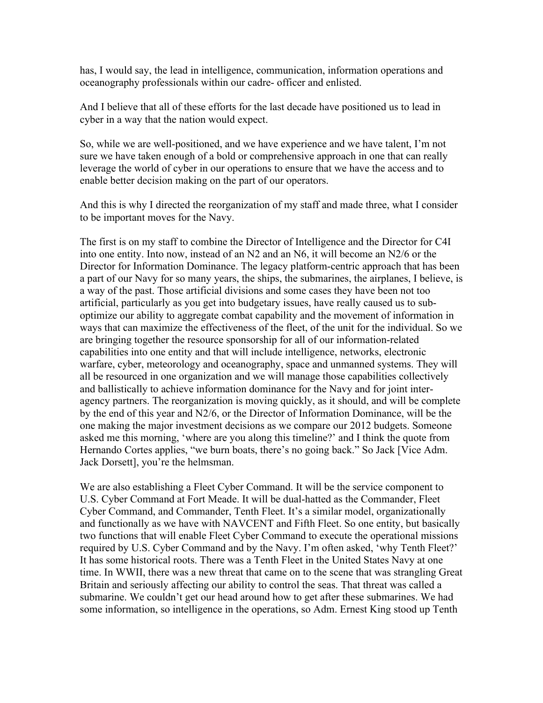has, I would say, the lead in intelligence, communication, information operations and oceanography professionals within our cadre- officer and enlisted.

And I believe that all of these efforts for the last decade have positioned us to lead in cyber in a way that the nation would expect.

So, while we are well-positioned, and we have experience and we have talent, I'm not sure we have taken enough of a bold or comprehensive approach in one that can really leverage the world of cyber in our operations to ensure that we have the access and to enable better decision making on the part of our operators.

And this is why I directed the reorganization of my staff and made three, what I consider to be important moves for the Navy.

The first is on my staff to combine the Director of Intelligence and the Director for C4I into one entity. Into now, instead of an N2 and an N6, it will become an N2/6 or the Director for Information Dominance. The legacy platform-centric approach that has been a part of our Navy for so many years, the ships, the submarines, the airplanes, I believe, is a way of the past. Those artificial divisions and some cases they have been not too artificial, particularly as you get into budgetary issues, have really caused us to suboptimize our ability to aggregate combat capability and the movement of information in ways that can maximize the effectiveness of the fleet, of the unit for the individual. So we are bringing together the resource sponsorship for all of our information-related capabilities into one entity and that will include intelligence, networks, electronic warfare, cyber, meteorology and oceanography, space and unmanned systems. They will all be resourced in one organization and we will manage those capabilities collectively and ballistically to achieve information dominance for the Navy and for joint interagency partners. The reorganization is moving quickly, as it should, and will be complete by the end of this year and N2/6, or the Director of Information Dominance, will be the one making the major investment decisions as we compare our 2012 budgets. Someone asked me this morning, 'where are you along this timeline?' and I think the quote from Hernando Cortes applies, "we burn boats, there's no going back." So Jack [Vice Adm. Jack Dorsett], you're the helmsman.

We are also establishing a Fleet Cyber Command. It will be the service component to U.S. Cyber Command at Fort Meade. It will be dual-hatted as the Commander, Fleet Cyber Command, and Commander, Tenth Fleet. It's a similar model, organizationally and functionally as we have with NAVCENT and Fifth Fleet. So one entity, but basically two functions that will enable Fleet Cyber Command to execute the operational missions required by U.S. Cyber Command and by the Navy. I'm often asked, 'why Tenth Fleet?' It has some historical roots. There was a Tenth Fleet in the United States Navy at one time. In WWII, there was a new threat that came on to the scene that was strangling Great Britain and seriously affecting our ability to control the seas. That threat was called a submarine. We couldn't get our head around how to get after these submarines. We had some information, so intelligence in the operations, so Adm. Ernest King stood up Tenth